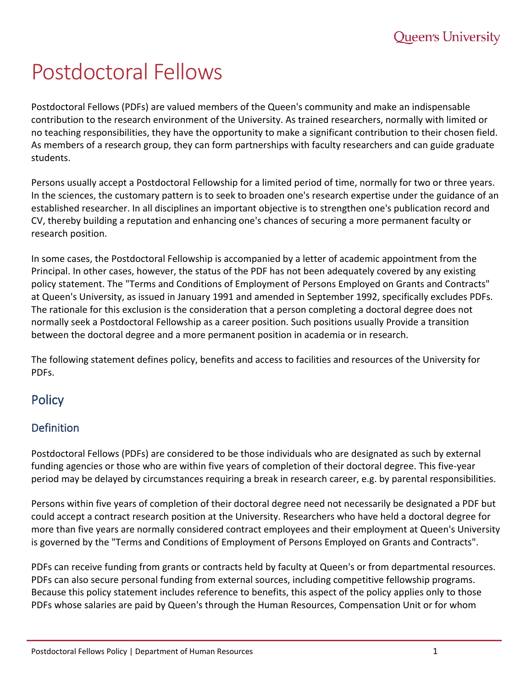# Postdoctoral Fellows

Postdoctoral Fellows (PDFs) are valued members of the Queen's community and make an indispensable contribution to the research environment of the University. As trained researchers, normally with limited or no teaching responsibilities, they have the opportunity to make a significant contribution to their chosen field. As members of a research group, they can form partnerships with faculty researchers and can guide graduate students.

Persons usually accept a Postdoctoral Fellowship for a limited period of time, normally for two or three years. In the sciences, the customary pattern is to seek to broaden one's research expertise under the guidance of an established researcher. In all disciplines an important objective is to strengthen one's publication record and CV, thereby building a reputation and enhancing one's chances of securing a more permanent faculty or research position.

In some cases, the Postdoctoral Fellowship is accompanied by a letter of academic appointment from the Principal. In other cases, however, the status of the PDF has not been adequately covered by any existing policy statement. The "Terms and Conditions of Employment of Persons Employed on Grants and Contracts" at Queen's University, as issued in January 1991 and amended in September 1992, specifically excludes PDFs. The rationale for this exclusion is the consideration that a person completing a doctoral degree does not normally seek a Postdoctoral Fellowship as a career position. Such positions usually Provide a transition between the doctoral degree and a more permanent position in academia or in research.

The following statement defines policy, benefits and access to facilities and resources of the University for PDFs.

# **Policy**

# **Definition**

Postdoctoral Fellows (PDFs) are considered to be those individuals who are designated as such by external funding agencies or those who are within five years of completion of their doctoral degree. This five-year period may be delayed by circumstances requiring a break in research career, e.g. by parental responsibilities.

Persons within five years of completion of their doctoral degree need not necessarily be designated a PDF but could accept a contract research position at the University. Researchers who have held a doctoral degree for more than five years are normally considered contract employees and their employment at Queen's University is governed by the "Terms and Conditions of Employment of Persons Employed on Grants and Contracts".

PDFs can receive funding from grants or contracts held by faculty at Queen's or from departmental resources. PDFs can also secure personal funding from external sources, including competitive fellowship programs. Because this policy statement includes reference to benefits, this aspect of the policy applies only to those PDFs whose salaries are paid by Queen's through the Human Resources, Compensation Unit or for whom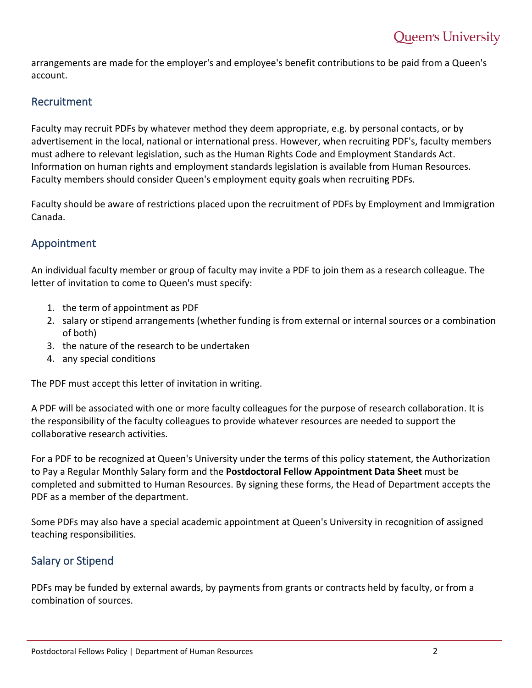arrangements are made for the employer's and employee's benefit contributions to be paid from a Queen's account.

## Recruitment

Faculty may recruit PDFs by whatever method they deem appropriate, e.g. by personal contacts, or by advertisement in the local, national or international press. However, when recruiting PDF's, faculty members must adhere to relevant legislation, such as the Human Rights Code and Employment Standards Act. Information on human rights and employment standards legislation is available from Human Resources. Faculty members should consider Queen's employment equity goals when recruiting PDFs.

Faculty should be aware of restrictions placed upon the recruitment of PDFs by Employment and Immigration Canada.

## Appointment

An individual faculty member or group of faculty may invite a PDF to join them as a research colleague. The letter of invitation to come to Queen's must specify:

- 1. the term of appointment as PDF
- 2. salary or stipend arrangements (whether funding is from external or internal sources or a combination of both)
- 3. the nature of the research to be undertaken
- 4. any special conditions

The PDF must accept this letter of invitation in writing.

A PDF will be associated with one or more faculty colleagues for the purpose of research collaboration. It is the responsibility of the faculty colleagues to provide whatever resources are needed to support the collaborative research activities.

For a PDF to be recognized at Queen's University under the terms of this policy statement, the Authorization to Pay a Regular Monthly Salary form and the **Postdoctoral Fellow Appointment Data Sheet** must be completed and submitted to Human Resources. By signing these forms, the Head of Department accepts the PDF as a member of the department.

Some PDFs may also have a special academic appointment at Queen's University in recognition of assigned teaching responsibilities.

## Salary or Stipend

PDFs may be funded by external awards, by payments from grants or contracts held by faculty, or from a combination of sources.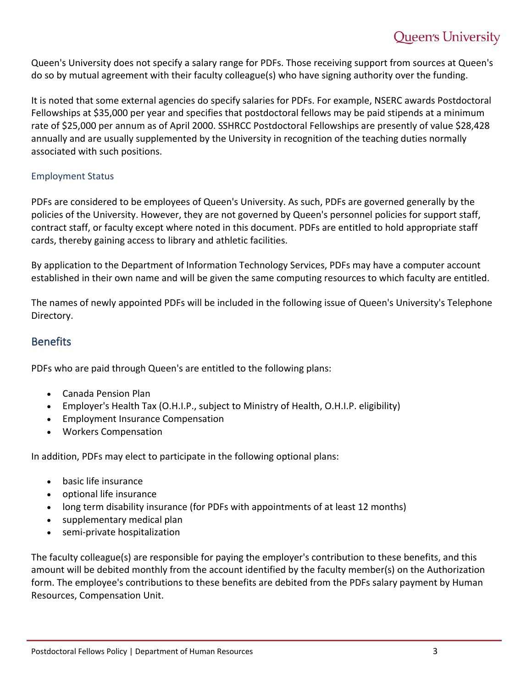# **Queen's University**

Queen's University does not specify a salary range for PDFs. Those receiving support from sources at Queen's do so by mutual agreement with their faculty colleague(s) who have signing authority over the funding.

It is noted that some external agencies do specify salaries for PDFs. For example, NSERC awards Postdoctoral Fellowships at \$35,000 per year and specifies that postdoctoral fellows may be paid stipends at a minimum rate of \$25,000 per annum as of April 2000. SSHRCC Postdoctoral Fellowships are presently of value \$28,428 annually and are usually supplemented by the University in recognition of the teaching duties normally associated with such positions.

#### Employment Status

PDFs are considered to be employees of Queen's University. As such, PDFs are governed generally by the policies of the University. However, they are not governed by Queen's personnel policies for support staff, contract staff, or faculty except where noted in this document. PDFs are entitled to hold appropriate staff cards, thereby gaining access to library and athletic facilities.

By application to the Department of Information Technology Services, PDFs may have a computer account established in their own name and will be given the same computing resources to which faculty are entitled.

The names of newly appointed PDFs will be included in the following issue of Queen's University's Telephone Directory.

#### **Benefits**

PDFs who are paid through Queen's are entitled to the following plans:

- Canada Pension Plan
- Employer's Health Tax (O.H.I.P., subject to Ministry of Health, O.H.I.P. eligibility)
- Employment Insurance Compensation
- Workers Compensation

In addition, PDFs may elect to participate in the following optional plans:

- basic life insurance
- optional life insurance
- long term disability insurance (for PDFs with appointments of at least 12 months)
- supplementary medical plan
- semi-private hospitalization

The faculty colleague(s) are responsible for paying the employer's contribution to these benefits, and this amount will be debited monthly from the account identified by the faculty member(s) on the Authorization form. The employee's contributions to these benefits are debited from the PDFs salary payment by Human Resources, Compensation Unit.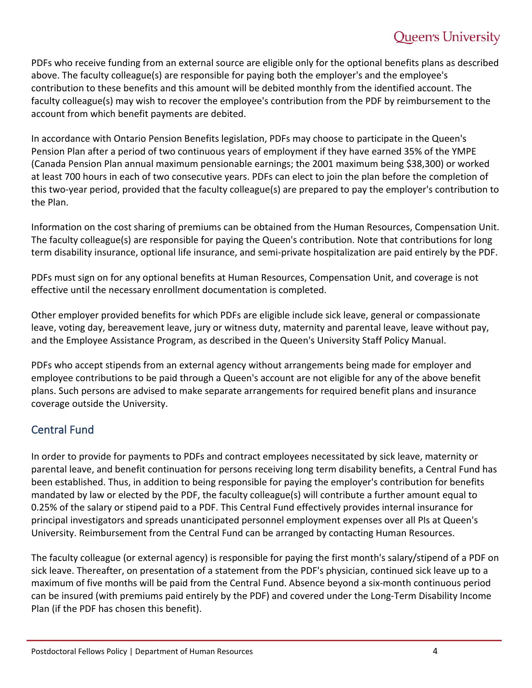# **Queen's University**

PDFs who receive funding from an external source are eligible only for the optional benefits plans as described above. The faculty colleague(s) are responsible for paying both the employer's and the employee's contribution to these benefits and this amount will be debited monthly from the identified account. The faculty colleague(s) may wish to recover the employee's contribution from the PDF by reimbursement to the account from which benefit payments are debited.

In accordance with Ontario Pension Benefits legislation, PDFs may choose to participate in the Queen's Pension Plan after a period of two continuous years of employment if they have earned 35% of the YMPE (Canada Pension Plan annual maximum pensionable earnings; the 2001 maximum being \$38,300) or worked at least 700 hours in each of two consecutive years. PDFs can elect to join the plan before the completion of this two-year period, provided that the faculty colleague(s) are prepared to pay the employer's contribution to the Plan.

Information on the cost sharing of premiums can be obtained from the Human Resources, Compensation Unit. The faculty colleague(s) are responsible for paying the Queen's contribution. Note that contributions for long term disability insurance, optional life insurance, and semi-private hospitalization are paid entirely by the PDF.

PDFs must sign on for any optional benefits at Human Resources, Compensation Unit, and coverage is not effective until the necessary enrollment documentation is completed.

Other employer provided benefits for which PDFs are eligible include sick leave, general or compassionate leave, voting day, bereavement leave, jury or witness duty, maternity and parental leave, leave without pay, and the Employee Assistance Program, as described in the Queen's University Staff Policy Manual.

PDFs who accept stipends from an external agency without arrangements being made for employer and employee contributions to be paid through a Queen's account are not eligible for any of the above benefit plans. Such persons are advised to make separate arrangements for required benefit plans and insurance coverage outside the University.

# Central Fund

In order to provide for payments to PDFs and contract employees necessitated by sick leave, maternity or parental leave, and benefit continuation for persons receiving long term disability benefits, a Central Fund has been established. Thus, in addition to being responsible for paying the employer's contribution for benefits mandated by law or elected by the PDF, the faculty colleague(s) will contribute a further amount equal to 0.25% of the salary or stipend paid to a PDF. This Central Fund effectively provides internal insurance for principal investigators and spreads unanticipated personnel employment expenses over all PIs at Queen's University. Reimbursement from the Central Fund can be arranged by contacting Human Resources.

The faculty colleague (or external agency) is responsible for paying the first month's salary/stipend of a PDF on sick leave. Thereafter, on presentation of a statement from the PDF's physician, continued sick leave up to a maximum of five months will be paid from the Central Fund. Absence beyond a six-month continuous period can be insured (with premiums paid entirely by the PDF) and covered under the Long-Term Disability Income Plan (if the PDF has chosen this benefit).